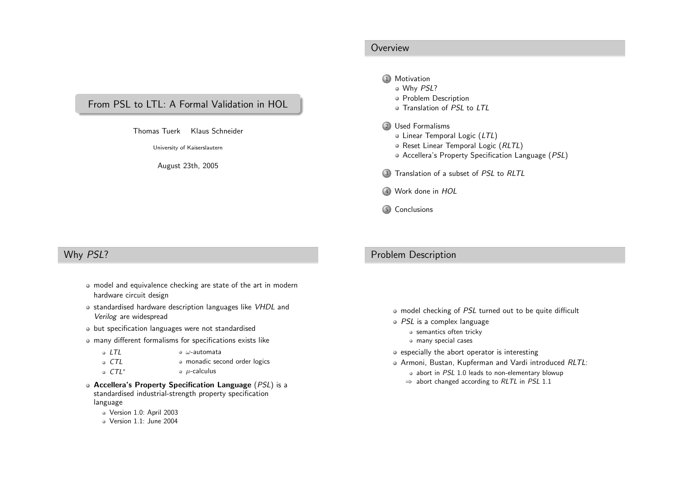## <span id="page-0-0"></span>From PSL to LTL: A Formal Validation in HOL

Thomas Tuerk Klaus Schneider

University of Kaiserslautern

August 23th, <sup>2005</sup>

#### **Overview**

#### 1 [Motivation](#page-0-0)

- [Why](#page-0-0) PSL?Problem [Description](#page-0-0)
- [Translation](#page-1-0) of PSL to LTL
- 2 Used [Formalisms](#page-1-0)
	- Linear [Temporal](#page-1-0) Logic (LTL)
	- Reset Linear [Temporal](#page-1-0) Logic (RLTL)
	- Accellera's Property [Specification](#page-2-0) Language (*PSL*)
- 3 [Translation](#page-2-0) of <sup>a</sup> subset of PSL to RLTL
- 4 [Work](#page-3-0) done in HOL
- 5 [Conclusions](#page-3-0)

## Why PSL?

- model and equivalence checking are state of the art in modernhardware circuit design
- standardised hardware description languages like VHDL and Verilog are widespread
- but specification languages were not standardised
- many different formalisms for specifications exists like
	- $\circ$  LTL ω-automata
		- CTL monadic second order logics
			- $\bullet$  *µ*-calculus
- Accellera's Property Specification Language (PSL) is <sup>a</sup> standardised industrial-strength property specificationlanguage
	- Version 1.0: April <sup>2003</sup>

CTL∗

Version 1.1: June <sup>2004</sup>

### Problem Description

- model checking of PSL turned out to be quite difficult
- PSL is <sup>a</sup> complex language
	- semantics often tricky
	- many special cases
- $\circ$  especially the abort operator is interesting
- Armoni, Bustan, Kupferman and Vardi introduced RLTL:
	- abort in PSL 1.0 leads to non-elementary blowup
	- $\Rightarrow$  abort changed according to RLTL in PSL 1.1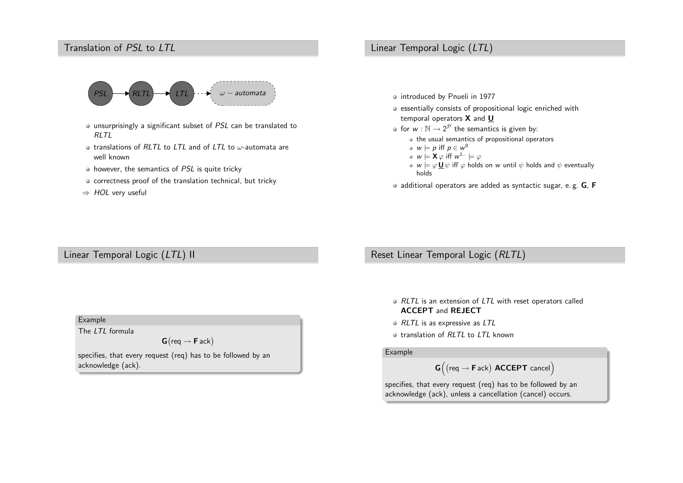# <span id="page-1-0"></span>Translation of PSL to LTL



- unsurprisingly a significant subset of *PSL* can be translated to  $RITI$
- translations of  $RLTL$  to  $LTL$  and of  $LTL$  to  $\omega$ -automata are well known
- however, the semantics of *PSL* is quite tricky
- correctness proof of the translation technical, but tricky
- $\Rightarrow$  HOL very useful

### Linear Temporal Logic (LTL)

- o introduced by Pnueli in 1977
- essentially consists of propositional logic enriched withtemporal operators  ${\mathsf X}$  and  ${\mathsf U}$
- for  $w : \mathbb{N} \to 2^{\mathcal{P}}$  the semantics is given by:<br>
a the usual semantics of arenesitional ones
	- the usual semantics of propositional operators
	- $w \models p$  iff  $p \in w^0$
	- $w \models \mathsf{X} \varphi$  iff  $w^{1...} \models \varphi$
	- $w \models \varphi \mathbf{\underline{U}} \, \psi$  iff  $\varphi$  holds on  $w$  until  $\psi$  holds and  $\psi$  eventually holds
- $\bullet$  additional operators are added as syntactic sugar, e.g. G, F

Linear Temporal Logic (LTL) II

Example

The LTL formula

 $\textsf{G}\big(\textsf{req} \rightarrow \textsf{F}\textsf{ack}\big)$ 

specifies, that every request (req) has to be followed by anacknowledge (ack).

Reset Linear Temporal Logic (RLTL)

- RLTL is an extension of LTL with reset operators called ACCEPT and REJECT
- RLTL is as expressive as LTL
- translation of RLTL to LTL known

#### Example

$$
G\Big( \text{(req} \rightarrow \text{F}\text{ack} \text{)} \text{ }\textbf{ACCEPT} \text{ }\text{cancel} \Big)
$$

specifies, that every request (req) has to be followed by anacknowledge (ack), unless <sup>a</sup> cancellation (cancel) occurs.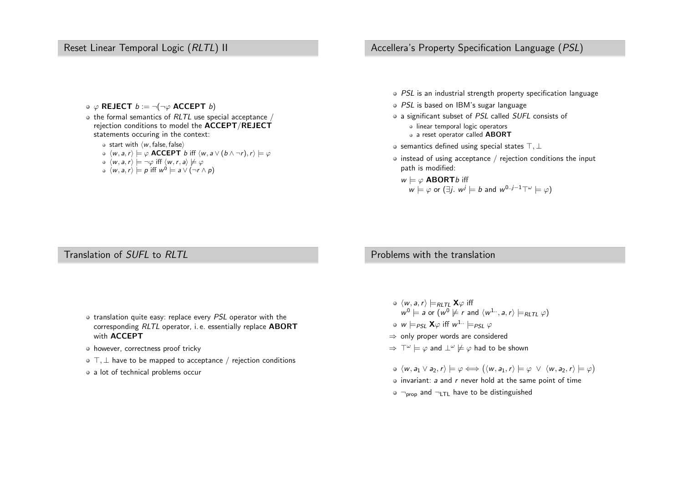### <span id="page-2-0"></span>Reset Linear Temporal Logic (RLTL) II

- $\varphi$  REJECT  $b := \neg(\neg \varphi$  ACCEPT  $b)$
- the formal semantics of  $RLTL$  use special acceptance  $/$ rejection conditions to model the  $\mathsf{ACCEPT} / \mathsf{REJECT}$ statements occuring in the context:
	- start with  $\langle w,$  false, false $\rangle$
	- $\langle w, a, r \rangle \models \varphi$  **ACCEPT** b iff  $\langle w, a \vee (b \wedge \neg r), r \rangle \models \varphi$
	- $\langle w,a,r\rangle \models \neg \varphi$  iff  $\langle w,r,a\rangle \not\models \varphi$
	- $\langle w, a, r \rangle \models p$  iff  $w^0 \models a \vee (\neg r \wedge p)$

### Accellera's Property Specification Language (PSL)

- PSL is an industrial strength property specification language
- PSL is based on IBM's sugar language
- a significant subset of *PSL* called *SUFL* consists of • linear temporal logic operators
	- a reset operator called  ${\sf ABORT}$
- semantics defined using special states  $\top, \bot$
- instead of using acceptance  $\hspace{0.1mm}/\hspace{0.1mm}$  rejection conditions the input path is modified:
	- $w \models \varphi$  **ABORT***b* iff  $w \models \varphi$  or (∃*j.*  $w^j \models b$  and  $w^{0..j-1} \top^\omega \models \varphi$ )

# Translation of SUFL to RLTL

- translation quite easy: replace every PSL operator with the corresponding  $RLTL$  operator, i.e. essentially replace  ${\bf ABORT}$ with **ACCEPT**
- however, correctness proof tricky
- $\top, \bot$  have to be mapped to acceptance  $/$  rejection conditions
- a lot of technical problems occur

### Problems with the translation

- $\langle w, a, r \rangle \models_{\mathsf{RLTL}} \mathbf{X} \varphi$  iff  $\mathsf{w}^0 \models$  a or  $(\mathsf{w}^0 \not\models r$  and  $\langle \mathsf{w}^1$   $\cdots$  , a, r)  $\models_{\mathsf{RLTL}} \varphi)$  $w \models_{\textit{PSL}} \mathbf{X} \varphi$  iff  $w^{1..} \models_{\textit{PSL}} \varphi$
- ⇒ only proper words are considered
- $\Rightarrow$   $\top^{\omega} \models \varphi$  and  $\bot^{\omega} \not\models \varphi$  had to be shown
- $\langle w, a_1 \vee a_2, r \rangle \models \varphi \Longleftrightarrow (\langle w, a_1, r \rangle \models \varphi \vee \langle w, a_2, r \rangle \models \varphi)$
- invariant:  $\bm{s}$  and  $\bm{r}$  never hold at the same point of time
- $\neg_\mathsf{prop}$  and  $\neg_\mathsf{LTL}$  have to be distinguished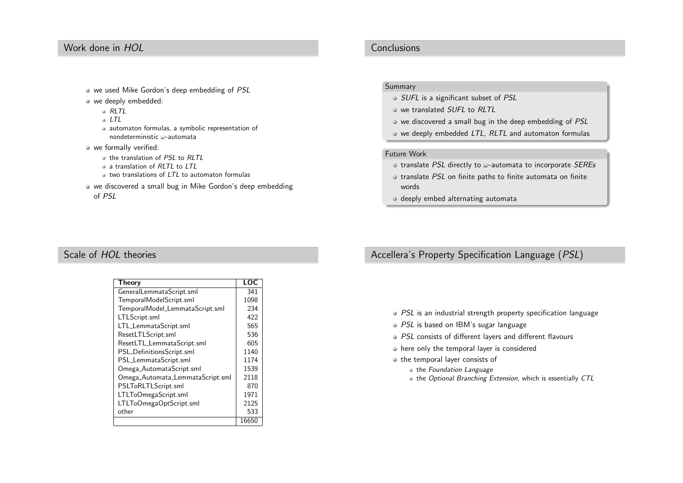## <span id="page-3-0"></span>Work done in HOL

- we used Mike Gordon's deep embedding of PSL
- we deeply embedded:
	- RLTL
	- LTL
	- automaton formulas, <sup>a</sup> symbolic representation of nondeterministic  $\omega$ -automata
- we formally verified:
	- the translation of PSL to RLTL
	- <sup>a</sup> translation of RLTL to LTL
	- two translations of LTL to automaton formulas
- we discovered <sup>a</sup> small bug in Mike Gordon's deep embeddingof PSL

### **Conclusions**

#### Summary

- SUFL is a significant subset of PSL
- we translated *SUFL* to *RLTL*
- we discovered a small bug in the deep embedding of PSL
- we deeply embedded LTL, RLTL and automaton formulas

#### Future Work

- translate *PSL* directly to  $\omega$ -automata to incorporate *SEREs*
- translate PSL on finite paths to finite automata on finite words
- o deeply embed alternating automata

# Scale of *HOL* theories

| Theory                           | LOC   |
|----------------------------------|-------|
| GeneralLemmataScript.sml         | 341   |
| TemporalModelScript.sml          | 1098  |
| TemporalModel_LemmataScript.sml  | 234   |
| LTLScript.sml                    | 422   |
| LTL_LemmataScript.sml            | 565   |
| ResetLTLScript.sml               | 536   |
| ResetLTL_LemmataScript.sml       | 605   |
| PSL_DefinitionsScript.sml        | 1140  |
| PSL_LemmataScript.sml            | 1174  |
| Omega_AutomataScript.sml         | 1539  |
| Omega_Automata_LemmataScript.sml | 2118  |
| PSLToRLTLScript.sml              | 870   |
| LTLToOmegaScript.sml             | 1971  |
| LTLToOmegaOptScript.sml          | 2125  |
| other                            | 533   |
|                                  | 16650 |

## Accellera's Property Specification Language (PSL)

- PSL is an industrial strength property specification language
- PSL is based on IBM's sugar language
- PSL consists of different layers and different flavours
- here only the temporal layer is considered
- o the temporal layer consists of
	- the Foundation Language
	- the Optional Branching Extension, which is essentially CTL